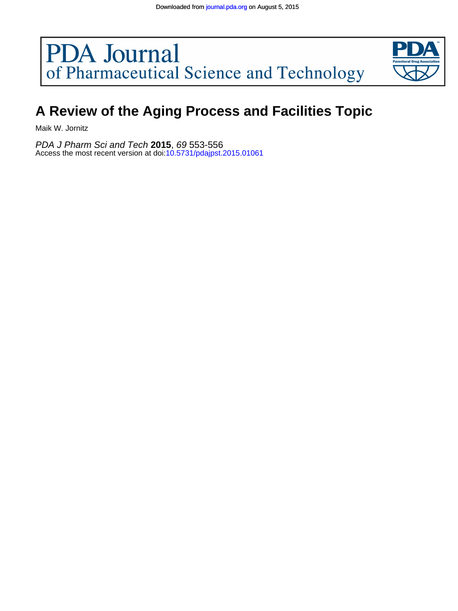# PDA Journal<br>of Pharmaceutical Science and Technology



## **A Review of the Aging Process and Facilities Topic**

Maik W. Jornitz

Access the most recent version at doi[:10.5731/pdajpst.2015.01061](http://journal.pda.org/lookup/doi/10.5731/pdajpst.2015.01061) PDA J Pharm Sci and Tech **2015**, 69 553-556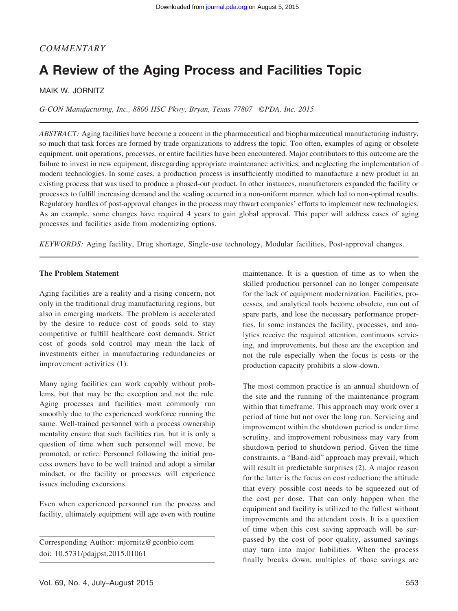#### *COMMENTARY*

### **A Review of the Aging Process and Facilities Topic**

MAIK W. JORNITZ

*G-CON Manufacturing, Inc., 8800 HSC Pkwy, Bryan, Texas 77807 ©PDA, Inc. 2015*

*ABSTRACT:* Aging facilities have become a concern in the pharmaceutical and biopharmaceutical manufacturing industry, so much that task forces are formed by trade organizations to address the topic. Too often, examples of aging or obsolete equipment, unit operations, processes, or entire facilities have been encountered. Major contributors to this outcome are the failure to invest in new equipment, disregarding appropriate maintenance activities, and neglecting the implementation of modern technologies. In some cases, a production process is insufficiently modified to manufacture a new product in an existing process that was used to produce a phased-out product. In other instances, manufacturers expanded the facility or processes to fulfill increasing demand and the scaling occurred in a non-uniform manner, which led to non-optimal results. Regulatory hurdles of post-approval changes in the process may thwart companies' efforts to implement new technologies. As an example, some changes have required 4 years to gain global approval. This paper will address cases of aging processes and facilities aside from modernizing options.

*KEYWORDS:* Aging facility, Drug shortage, Single-use technology, Modular facilities, Post-approval changes.

#### **The Problem Statement**

Aging facilities are a reality and a rising concern, not only in the traditional drug manufacturing regions, but also in emerging markets. The problem is accelerated by the desire to reduce cost of goods sold to stay competitive or fulfill healthcare cost demands. Strict cost of goods sold control may mean the lack of investments either in manufacturing redundancies or improvement activities (1).

Many aging facilities can work capably without problems, but that may be the exception and not the rule. Aging processes and facilities most commonly run smoothly due to the experienced workforce running the same. Well-trained personnel with a process ownership mentality ensure that such facilities run, but it is only a question of time when such personnel will move, be promoted, or retire. Personnel following the initial process owners have to be well trained and adopt a similar mindset, or the facility or processes will experience issues including excursions.

Even when experienced personnel run the process and facility, ultimately equipment will age even with routine

Corresponding Author: [mjornitz@gconbio.com](mailto:mjornitz@gconbio.com) doi: 10.5731/pdajpst.2015.01061

maintenance. It is a question of time as to when the skilled production personnel can no longer compensate for the lack of equipment modernization. Facilities, processes, and analytical tools become obsolete, run out of spare parts, and lose the necessary performance properties. In some instances the facility, processes, and analytics receive the required attention, continuous servicing, and improvements, but these are the exception and not the rule especially when the focus is costs or the production capacity prohibits a slow-down.

The most common practice is an annual shutdown of the site and the running of the maintenance program within that timeframe. This approach may work over a period of time but not over the long run. Servicing and improvement within the shutdown period is under time scrutiny, and improvement robustness may vary from shutdown period to shutdown period. Given the time constraints, a "Band-aid" approach may prevail, which will result in predictable surprises (2). A major reason for the latter is the focus on cost reduction; the attitude that every possible cost needs to be squeezed out of the cost per dose. That can only happen when the equipment and facility is utilized to the fullest without improvements and the attendant costs. It is a question of time when this cost saving approach will be surpassed by the cost of poor quality, assumed savings may turn into major liabilities. When the process finally breaks down, multiples of those savings are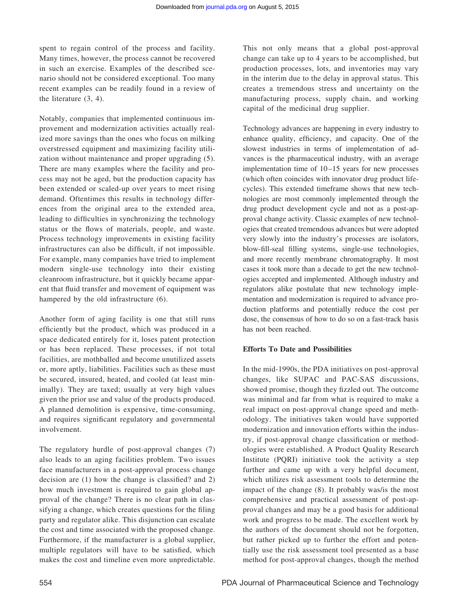spent to regain control of the process and facility. Many times, however, the process cannot be recovered in such an exercise. Examples of the described scenario should not be considered exceptional. Too many recent examples can be readily found in a review of the literature (3, 4).

Notably, companies that implemented continuous improvement and modernization activities actually realized more savings than the ones who focus on milking overstressed equipment and maximizing facility utilization without maintenance and proper upgrading (5). There are many examples where the facility and process may not be aged, but the production capacity has been extended or scaled-up over years to meet rising demand. Oftentimes this results in technology differences from the original area to the extended area, leading to difficulties in synchronizing the technology status or the flows of materials, people, and waste. Process technology improvements in existing facility infrastructures can also be difficult, if not impossible. For example, many companies have tried to implement modern single-use technology into their existing cleanroom infrastructure, but it quickly became apparent that fluid transfer and movement of equipment was hampered by the old infrastructure (6).

Another form of aging facility is one that still runs efficiently but the product, which was produced in a space dedicated entirely for it, loses patent protection or has been replaced. These processes, if not total facilities, are mothballed and become unutilized assets or, more aptly, liabilities. Facilities such as these must be secured, insured, heated, and cooled (at least minimally). They are taxed; usually at very high values given the prior use and value of the products produced. A planned demolition is expensive, time-consuming, and requires significant regulatory and governmental involvement.

The regulatory hurdle of post-approval changes (7) also leads to an aging facilities problem. Two issues face manufacturers in a post-approval process change decision are (1) how the change is classified? and 2) how much investment is required to gain global approval of the change? There is no clear path in classifying a change, which creates questions for the filing party and regulator alike. This disjunction can escalate the cost and time associated with the proposed change. Furthermore, if the manufacturer is a global supplier, multiple regulators will have to be satisfied, which makes the cost and timeline even more unpredictable.

This not only means that a global post-approval change can take up to 4 years to be accomplished, but production processes, lots, and inventories may vary in the interim due to the delay in approval status. This creates a tremendous stress and uncertainty on the manufacturing process, supply chain, and working capital of the medicinal drug supplier.

Technology advances are happening in every industry to enhance quality, efficiency, and capacity. One of the slowest industries in terms of implementation of advances is the pharmaceutical industry, with an average implementation time of  $10-15$  years for new processes (which often coincides with innovator drug product lifecycles). This extended timeframe shows that new technologies are most commonly implemented through the drug product development cycle and not as a post-approval change activity. Classic examples of new technologies that created tremendous advances but were adopted very slowly into the industry's processes are isolators, blow-fill-seal filling systems, single-use technologies, and more recently membrane chromatography. It most cases it took more than a decade to get the new technologies accepted and implemented. Although industry and regulators alike postulate that new technology implementation and modernization is required to advance production platforms and potentially reduce the cost per dose, the consensus of how to do so on a fast-track basis has not been reached.

#### **Efforts To Date and Possibilities**

In the mid-1990s, the PDA initiatives on post-approval changes, like SUPAC and PAC-SAS discussions, showed promise, though they fizzled out. The outcome was minimal and far from what is required to make a real impact on post-approval change speed and methodology. The initiatives taken would have supported modernization and innovation efforts within the industry, if post-approval change classification or methodologies were established. A Product Quality Research Institute (PQRI) initiative took the activity a step further and came up with a very helpful document, which utilizes risk assessment tools to determine the impact of the change (8). It probably was/is the most comprehensive and practical assessment of post-approval changes and may be a good basis for additional work and progress to be made. The excellent work by the authors of the document should not be forgotten, but rather picked up to further the effort and potentially use the risk assessment tool presented as a base method for post-approval changes, though the method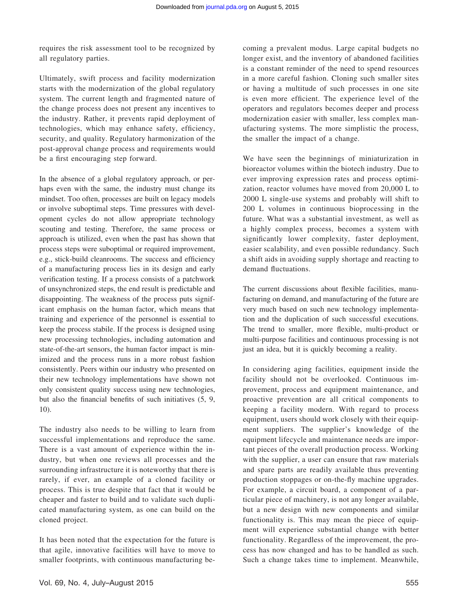requires the risk assessment tool to be recognized by all regulatory parties.

Ultimately, swift process and facility modernization starts with the modernization of the global regulatory system. The current length and fragmented nature of the change process does not present any incentives to the industry. Rather, it prevents rapid deployment of technologies, which may enhance safety, efficiency, security, and quality. Regulatory harmonization of the post-approval change process and requirements would be a first encouraging step forward.

In the absence of a global regulatory approach, or perhaps even with the same, the industry must change its mindset. Too often, processes are built on legacy models or involve suboptimal steps. Time pressures with development cycles do not allow appropriate technology scouting and testing. Therefore, the same process or approach is utilized, even when the past has shown that process steps were suboptimal or required improvement, e.g., stick-build cleanrooms. The success and efficiency of a manufacturing process lies in its design and early verification testing. If a process consists of a patchwork of unsynchronized steps, the end result is predictable and disappointing. The weakness of the process puts significant emphasis on the human factor, which means that training and experience of the personnel is essential to keep the process stabile. If the process is designed using new processing technologies, including automation and state-of-the-art sensors, the human factor impact is minimized and the process runs in a more robust fashion consistently. Peers within our industry who presented on their new technology implementations have shown not only consistent quality success using new technologies, but also the financial benefits of such initiatives (5, 9, 10).

The industry also needs to be willing to learn from successful implementations and reproduce the same. There is a vast amount of experience within the industry, but when one reviews all processes and the surrounding infrastructure it is noteworthy that there is rarely, if ever, an example of a cloned facility or process. This is true despite that fact that it would be cheaper and faster to build and to validate such duplicated manufacturing system, as one can build on the cloned project.

It has been noted that the expectation for the future is that agile, innovative facilities will have to move to smaller footprints, with continuous manufacturing becoming a prevalent modus. Large capital budgets no longer exist, and the inventory of abandoned facilities is a constant reminder of the need to spend resources in a more careful fashion. Cloning such smaller sites or having a multitude of such processes in one site is even more efficient. The experience level of the operators and regulators becomes deeper and process modernization easier with smaller, less complex manufacturing systems. The more simplistic the process, the smaller the impact of a change.

We have seen the beginnings of miniaturization in bioreactor volumes within the biotech industry. Due to ever improving expression rates and process optimization, reactor volumes have moved from 20,000 L to 2000 L single-use systems and probably will shift to 200 L volumes in continuous bioprocessing in the future. What was a substantial investment, as well as a highly complex process, becomes a system with significantly lower complexity, faster deployment, easier scalability, and even possible redundancy. Such a shift aids in avoiding supply shortage and reacting to demand fluctuations.

The current discussions about flexible facilities, manufacturing on demand, and manufacturing of the future are very much based on such new technology implementation and the duplication of such successful executions. The trend to smaller, more flexible, multi-product or multi-purpose facilities and continuous processing is not just an idea, but it is quickly becoming a reality.

In considering aging facilities, equipment inside the facility should not be overlooked. Continuous improvement, process and equipment maintenance, and proactive prevention are all critical components to keeping a facility modern. With regard to process equipment, users should work closely with their equipment suppliers. The supplier's knowledge of the equipment lifecycle and maintenance needs are important pieces of the overall production process. Working with the supplier, a user can ensure that raw materials and spare parts are readily available thus preventing production stoppages or on-the-fly machine upgrades. For example, a circuit board, a component of a particular piece of machinery, is not any longer available, but a new design with new components and similar functionality is. This may mean the piece of equipment will experience substantial change with better functionality. Regardless of the improvement, the process has now changed and has to be handled as such. Such a change takes time to implement. Meanwhile,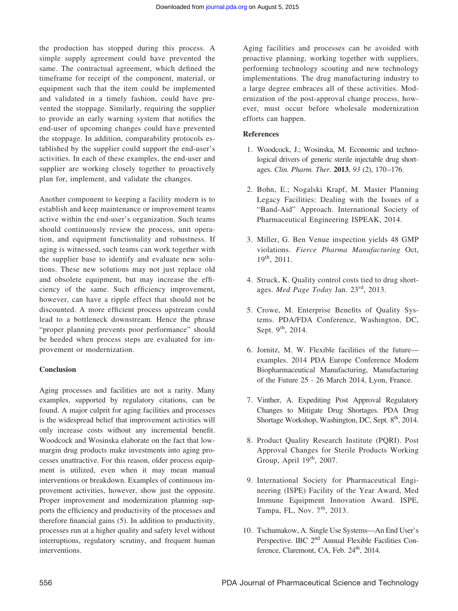the production has stopped during this process. A simple supply agreement could have prevented the same. The contractual agreement, which defined the timeframe for receipt of the component, material, or equipment such that the item could be implemented and validated in a timely fashion, could have prevented the stoppage. Similarly, requiring the supplier to provide an early warning system that notifies the end-user of upcoming changes could have prevented the stoppage. In addition, comparability protocols established by the supplier could support the end-user's activities. In each of these examples, the end-user and supplier are working closely together to proactively plan for, implement, and validate the changes.

Another component to keeping a facility modern is to establish and keep maintenance or improvement teams active within the end-user's organization. Such teams should continuously review the process, unit operation, and equipment functionality and robustness. If aging is witnessed, such teams can work together with the supplier base to identify and evaluate new solutions. These new solutions may not just replace old and obsolete equipment, but may increase the efficiency of the same. Such efficiency improvement, however, can have a ripple effect that should not be discounted. A more efficient process upstream could lead to a bottleneck downstream. Hence the phrase "proper planning prevents poor performance" should be heeded when process steps are evaluated for improvement or modernization.

#### **Conclusion**

Aging processes and facilities are not a rarity. Many examples, supported by regulatory citations, can be found. A major culprit for aging facilities and processes is the widespread belief that improvement activities will only increase costs without any incremental benefit. Woodcock and Wosinska elaborate on the fact that lowmargin drug products make investments into aging processes unattractive. For this reason, older process equipment is utilized, even when it may mean manual interventions or breakdown. Examples of continuous improvement activities, however, show just the opposite. Proper improvement and modernization planning supports the efficiency and productivity of the processes and therefore financial gains (5). In addition to productivity, processes run at a higher quality and safety level without interruptions, regulatory scrutiny, and frequent human interventions.

Aging facilities and processes can be avoided with proactive planning, working together with suppliers, performing technology scouting and new technology implementations. The drug manufacturing industry to a large degree embraces all of these activities. Modernization of the post-approval change process, however, must occur before wholesale modernization efforts can happen.

#### **References**

- 1. Woodcock, J.; Wosinska, M. Economic and technological drivers of generic sterile injectable drug shortages. *Clin. Pharm. Ther.* **2013**, *93* (2), 170 –176.
- 2. Bohn, E.; Nogalski Krapf, M. Master Planning Legacy Facilities: Dealing with the Issues of a "Band-Aid" Approach. International Society of Pharmaceutical Engineering ISPEAK, 2014.
- 3. Miller, G. Ben Venue inspection yields 48 GMP violations. *Fierce Pharma Manufacturing* Oct, 19th, 2011.
- 4. Struck, K. Quality control costs tied to drug shortages. *Med Page Today* Jan. 23rd, 2013.
- 5. Crowe, M. Enterprise Benefits of Quality Systems. PDA/FDA Conference, Washington, DC, Sept. 9<sup>th</sup>, 2014.
- 6. Jornitz, M. W. Flexible facilities of the future examples. 2014 PDA Europe Conference Modern Biopharmaceutical Manufacturing, Manufacturing of the Future 25 - 26 March 2014, Lyon, France.
- 7. Vinther, A. Expediting Post Approval Regulatory Changes to Mitigate Drug Shortages. PDA Drug Shortage Workshop, Washington, DC, Sept. 8<sup>th</sup>, 2014.
- 8. Product Quality Research Institute (PQRI). Post Approval Changes for Sterile Products Working Group, April 19<sup>th</sup>, 2007.
- 9. International Society for Pharmaceutical Engineering (ISPE) Facility of the Year Award, Med Immune Equipment Innovation Award. ISPE, Tampa, FL, Nov. 7<sup>th</sup>, 2013.
- 10. Tschumakow, A. Single Use Systems—An End User's Perspective. IBC 2nd Annual Flexible Facilities Conference, Claremont, CA, Feb. 24<sup>th</sup>, 2014.